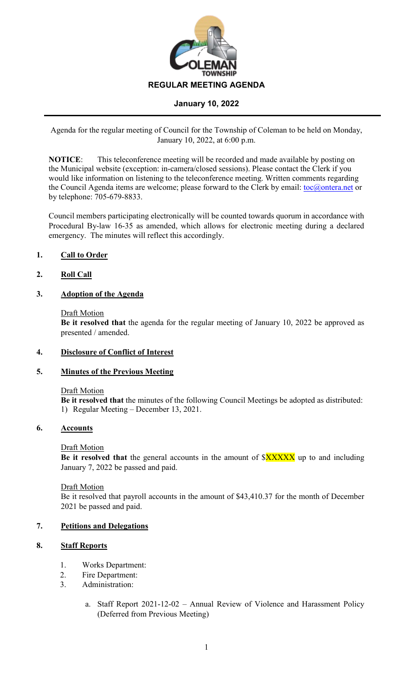

Agenda for the regular meeting of Council for the Township of Coleman to be held on Monday, January 10, 2022, at 6:00 p.m.

**NOTICE**: This teleconference meeting will be recorded and made available by posting on the Municipal website (exception: in-camera/closed sessions). Please contact the Clerk if you would like information on listening to the teleconference meeting. Written comments regarding the Council Agenda items are welcome; please forward to the Clerk by email: [toc@ontera.net](mailto:toc@ontera.net) or by telephone: 705-679-8833.

Council members participating electronically will be counted towards quorum in accordance with Procedural By-law 16-35 as amended, which allows for electronic meeting during a declared emergency. The minutes will reflect this accordingly.

# **1. Call to Order**

# **2. Roll Call**

## **3. Adoption of the Agenda**

### Draft Motion

**Be it resolved that** the agenda for the regular meeting of January 10, 2022 be approved as presented / amended.

## **4. Disclosure of Conflict of Interest**

## **5. Minutes of the Previous Meeting**

#### Draft Motion

**Be it resolved that** the minutes of the following Council Meetings be adopted as distributed: 1) Regular Meeting – December 13, 2021.

## **6. Accounts**

#### Draft Motion

**Be it resolved that** the general accounts in the amount of  $\frac{3XXXX}{X}$  up to and including January 7, 2022 be passed and paid.

#### Draft Motion

Be it resolved that payroll accounts in the amount of \$43,410.37 for the month of December 2021 be passed and paid.

## **7. Petitions and Delegations**

## **8. Staff Reports**

- 1. Works Department:
- 2. Fire Department:
- 3. Administration:
	- a. Staff Report 2021-12-02 Annual Review of Violence and Harassment Policy (Deferred from Previous Meeting)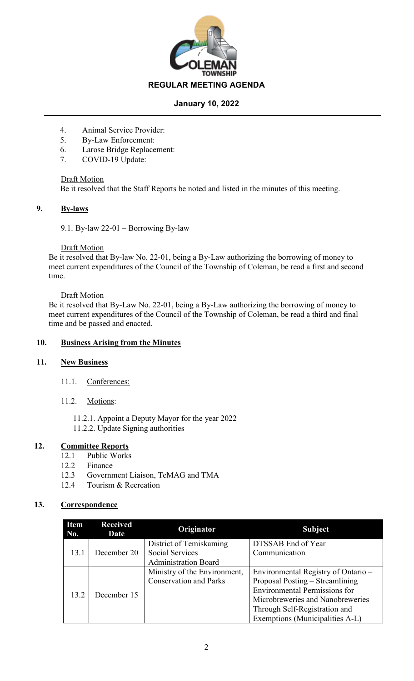

- 4. Animal Service Provider:
- 5. By-Law Enforcement:
- 6. Larose Bridge Replacement:
- 7. COVID-19 Update:

Draft Motion

Be it resolved that the Staff Reports be noted and listed in the minutes of this meeting.

### **9. By-laws**

9.1. By-law 22-01 – Borrowing By-law

### **Draft Motion**

Be it resolved that By-law No. 22-01, being a By-Law authorizing the borrowing of money to meet current expenditures of the Council of the Township of Coleman, be read a first and second time.

### Draft Motion

Be it resolved that By-Law No. 22-01, being a By-Law authorizing the borrowing of money to meet current expenditures of the Council of the Township of Coleman, be read a third and final time and be passed and enacted.

## **10. Business Arising from the Minutes**

## **11. New Business**

- 11.1. Conferences:
- 11.2. Motions:

11.2.1. Appoint a Deputy Mayor for the year 2022 11.2.2. Update Signing authorities

# **12. Committee Reports**

- 12.1 Public Works
- 12.2 Finance
- 12.3 Government Liaison, TeMAG and TMA
- 12.4 Tourism & Recreation

## **13. Correspondence**

| <b>Item</b><br>No. | <b>Received</b><br>Date | Originator                    | <b>Subject</b>                       |
|--------------------|-------------------------|-------------------------------|--------------------------------------|
| 13.1               | December 20             | District of Temiskaming       | DTSSAB End of Year                   |
|                    |                         | <b>Social Services</b>        | Communication                        |
|                    |                         | <b>Administration Board</b>   |                                      |
| 13.2               | December 15             | Ministry of the Environment,  | Environmental Registry of Ontario –  |
|                    |                         | <b>Conservation and Parks</b> | Proposal Posting - Streamlining      |
|                    |                         |                               | <b>Environmental Permissions for</b> |
|                    |                         |                               | Microbreweries and Nanobreweries     |
|                    |                         |                               | Through Self-Registration and        |
|                    |                         |                               | Exemptions (Municipalities A-L)      |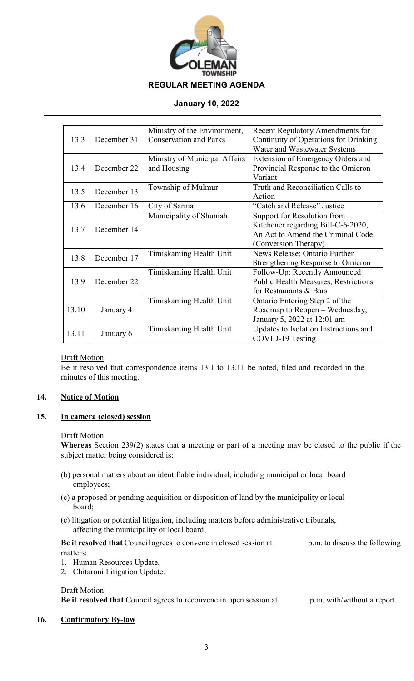

|       |             | Ministry of the Environment,  | <b>Recent Regulatory Amendments for</b>     |
|-------|-------------|-------------------------------|---------------------------------------------|
| 13.3  | December 31 | <b>Conservation and Parks</b> | Continuity of Operations for Drinking       |
|       |             |                               | Water and Wastewater Systems                |
|       |             | Ministry of Municipal Affairs | Extension of Emergency Orders and           |
| 13.4  | December 22 | and Housing                   | Provincial Response to the Omicron          |
|       |             |                               | Variant                                     |
| 13.5  | December 13 | Township of Mulmur            | Truth and Reconciliation Calls to           |
|       |             |                               | Action                                      |
| 13.6  | December 16 | City of Sarnia                | "Catch and Release" Justice                 |
|       |             | Municipality of Shuniah       | Support for Resolution from                 |
| 13.7  | December 14 |                               | Kitchener regarding Bill-C-6-2020,          |
|       |             |                               | An Act to Amend the Criminal Code           |
|       |             |                               | (Conversion Therapy)                        |
| 13.8  | December 17 | Timiskaming Health Unit       | News Release: Ontario Further               |
|       |             |                               | Strengthening Response to Omicron           |
|       | December 22 | Timiskaming Health Unit       | Follow-Up: Recently Announced               |
| 13.9  |             |                               | <b>Public Health Measures, Restrictions</b> |
|       |             |                               | for Restaurants & Bars                      |
|       |             | Timiskaming Health Unit       | Ontario Entering Step 2 of the              |
| 13.10 | January 4   |                               | Roadmap to Reopen - Wednesday,              |
|       |             |                               | January 5, 2022 at 12:01 am                 |
| 13.11 | January 6   | Timiskaming Health Unit       | Updates to Isolation Instructions and       |
|       |             |                               | COVID-19 Testing                            |

## Draft Motion

Be it resolved that correspondence items 13.1 to 13.11 be noted, filed and recorded in the minutes of this meeting.

## **14. Notice of Motion**

## **15. In camera (closed) session**

## Draft Motion

**Whereas** Section 239(2) states that a meeting or part of a meeting may be closed to the public if the subject matter being considered is:

- (b) personal matters about an identifiable individual, including municipal or local board employees;
- (c) a proposed or pending acquisition or disposition of land by the municipality or local board;
- (e) litigation or potential litigation, including matters before administrative tribunals, affecting the municipality or local board;

**Be it resolved that** Council agrees to convene in closed session at \_\_\_\_\_\_\_\_ p.m. to discuss the following matters:

- 1. Human Resources Update.
- 2. Chitaroni Litigation Update.

## Draft Motion:

**Be it resolved that** Council agrees to reconvene in open session at \_\_\_\_\_\_\_ p.m. with/without a report.

## **16. Confirmatory By-law**